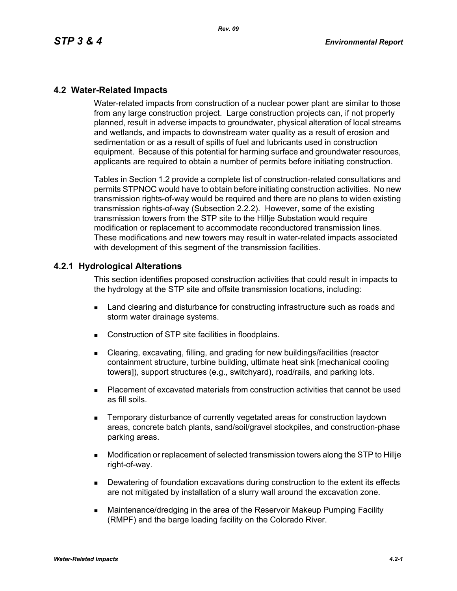## **4.2 Water-Related Impacts**

Water-related impacts from construction of a nuclear power plant are similar to those from any large construction project. Large construction projects can, if not properly planned, result in adverse impacts to groundwater, physical alteration of local streams and wetlands, and impacts to downstream water quality as a result of erosion and sedimentation or as a result of spills of fuel and lubricants used in construction equipment. Because of this potential for harming surface and groundwater resources, applicants are required to obtain a number of permits before initiating construction.

Tables in Section 1.2 provide a complete list of construction-related consultations and permits STPNOC would have to obtain before initiating construction activities. No new transmission rights-of-way would be required and there are no plans to widen existing transmission rights-of-way (Subsection 2.2.2). However, some of the existing transmission towers from the STP site to the Hillje Substation would require modification or replacement to accommodate reconductored transmission lines. These modifications and new towers may result in water-related impacts associated with development of this segment of the transmission facilities.

#### **4.2.1 Hydrological Alterations**

This section identifies proposed construction activities that could result in impacts to the hydrology at the STP site and offsite transmission locations, including:

- **EXEC** Land clearing and disturbance for constructing infrastructure such as roads and storm water drainage systems.
- Construction of STP site facilities in floodplains.
- Clearing, excavating, filling, and grading for new buildings/facilities (reactor containment structure, turbine building, ultimate heat sink [mechanical cooling towers]), support structures (e.g., switchyard), road/rails, and parking lots.
- Placement of excavated materials from construction activities that cannot be used as fill soils.
- **EXECTE TEMPORARY DISTINGUION CONSTRANGED META** TEMPORATION IS THE MOVING THE TEMPORARY TEMPORANGED **TEMPORAGHLY** areas, concrete batch plants, sand/soil/gravel stockpiles, and construction-phase parking areas.
- Modification or replacement of selected transmission towers along the STP to Hillje right-of-way.
- **Dewatering of foundation excavations during construction to the extent its effects** are not mitigated by installation of a slurry wall around the excavation zone.
- Maintenance/dredging in the area of the Reservoir Makeup Pumping Facility (RMPF) and the barge loading facility on the Colorado River.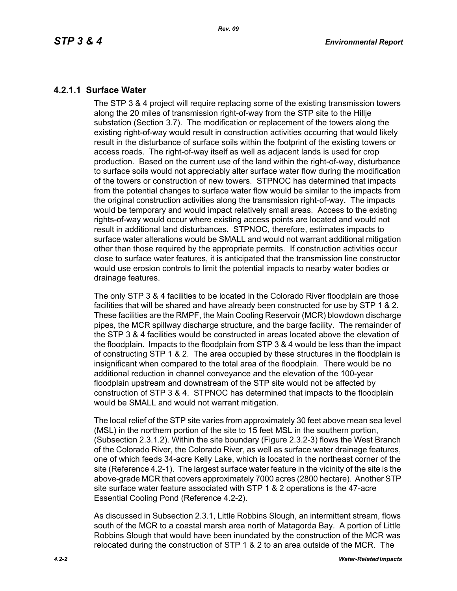# **4.2.1.1 Surface Water**

The STP 3 & 4 project will require replacing some of the existing transmission towers along the 20 miles of transmission right-of-way from the STP site to the Hillje substation (Section 3.7). The modification or replacement of the towers along the existing right-of-way would result in construction activities occurring that would likely result in the disturbance of surface soils within the footprint of the existing towers or access roads. The right-of-way itself as well as adjacent lands is used for crop production. Based on the current use of the land within the right-of-way, disturbance to surface soils would not appreciably alter surface water flow during the modification of the towers or construction of new towers. STPNOC has determined that impacts from the potential changes to surface water flow would be similar to the impacts from the original construction activities along the transmission right-of-way. The impacts would be temporary and would impact relatively small areas. Access to the existing rights-of-way would occur where existing access points are located and would not result in additional land disturbances. STPNOC, therefore, estimates impacts to surface water alterations would be SMALL and would not warrant additional mitigation other than those required by the appropriate permits. If construction activities occur close to surface water features, it is anticipated that the transmission line constructor would use erosion controls to limit the potential impacts to nearby water bodies or drainage features.

The only STP 3 & 4 facilities to be located in the Colorado River floodplain are those facilities that will be shared and have already been constructed for use by STP 1 & 2. These facilities are the RMPF, the Main Cooling Reservoir (MCR) blowdown discharge pipes, the MCR spillway discharge structure, and the barge facility. The remainder of the STP 3 & 4 facilities would be constructed in areas located above the elevation of the floodplain. Impacts to the floodplain from STP 3 & 4 would be less than the impact of constructing STP 1 & 2. The area occupied by these structures in the floodplain is insignificant when compared to the total area of the floodplain. There would be no additional reduction in channel conveyance and the elevation of the 100-year floodplain upstream and downstream of the STP site would not be affected by construction of STP 3 & 4. STPNOC has determined that impacts to the floodplain would be SMALL and would not warrant mitigation.

The local relief of the STP site varies from approximately 30 feet above mean sea level (MSL) in the northern portion of the site to 15 feet MSL in the southern portion, (Subsection 2.3.1.2). Within the site boundary (Figure 2.3.2-3) flows the West Branch of the Colorado River, the Colorado River, as well as surface water drainage features, one of which feeds 34-acre Kelly Lake, which is located in the northeast corner of the site (Reference 4.2-1). The largest surface water feature in the vicinity of the site is the above-grade MCR that covers approximately 7000 acres (2800 hectare). Another STP site surface water feature associated with STP 1 & 2 operations is the 47-acre Essential Cooling Pond (Reference 4.2-2).

As discussed in Subsection 2.3.1, Little Robbins Slough, an intermittent stream, flows south of the MCR to a coastal marsh area north of Matagorda Bay. A portion of Little Robbins Slough that would have been inundated by the construction of the MCR was relocated during the construction of STP 1 & 2 to an area outside of the MCR. The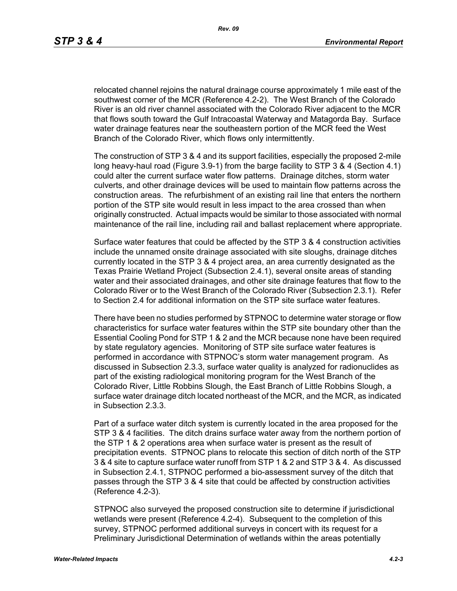relocated channel rejoins the natural drainage course approximately 1 mile east of the southwest corner of the MCR (Reference 4.2-2). The West Branch of the Colorado River is an old river channel associated with the Colorado River adjacent to the MCR that flows south toward the Gulf Intracoastal Waterway and Matagorda Bay. Surface water drainage features near the southeastern portion of the MCR feed the West Branch of the Colorado River, which flows only intermittently.

The construction of STP 3 & 4 and its support facilities, especially the proposed 2-mile long heavy-haul road (Figure 3.9-1) from the barge facility to STP 3 & 4 (Section 4.1) could alter the current surface water flow patterns. Drainage ditches, storm water culverts, and other drainage devices will be used to maintain flow patterns across the construction areas. The refurbishment of an existing rail line that enters the northern portion of the STP site would result in less impact to the area crossed than when originally constructed. Actual impacts would be similar to those associated with normal maintenance of the rail line, including rail and ballast replacement where appropriate.

Surface water features that could be affected by the STP 3 & 4 construction activities include the unnamed onsite drainage associated with site sloughs, drainage ditches currently located in the STP 3 & 4 project area, an area currently designated as the Texas Prairie Wetland Project (Subsection 2.4.1), several onsite areas of standing water and their associated drainages, and other site drainage features that flow to the Colorado River or to the West Branch of the Colorado River (Subsection 2.3.1). Refer to Section 2.4 for additional information on the STP site surface water features.

There have been no studies performed by STPNOC to determine water storage or flow characteristics for surface water features within the STP site boundary other than the Essential Cooling Pond for STP 1 & 2 and the MCR because none have been required by state regulatory agencies. Monitoring of STP site surface water features is performed in accordance with STPNOC's storm water management program. As discussed in Subsection 2.3.3, surface water quality is analyzed for radionuclides as part of the existing radiological monitoring program for the West Branch of the Colorado River, Little Robbins Slough, the East Branch of Little Robbins Slough, a surface water drainage ditch located northeast of the MCR, and the MCR, as indicated in Subsection 2.3.3.

Part of a surface water ditch system is currently located in the area proposed for the STP 3 & 4 facilities. The ditch drains surface water away from the northern portion of the STP 1 & 2 operations area when surface water is present as the result of precipitation events. STPNOC plans to relocate this section of ditch north of the STP 3 & 4 site to capture surface water runoff from STP 1 & 2 and STP 3 & 4. As discussed in Subsection 2.4.1, STPNOC performed a bio-assessment survey of the ditch that passes through the STP 3 & 4 site that could be affected by construction activities (Reference 4.2-3).

STPNOC also surveyed the proposed construction site to determine if jurisdictional wetlands were present (Reference 4.2-4). Subsequent to the completion of this survey, STPNOC performed additional surveys in concert with its request for a Preliminary Jurisdictional Determination of wetlands within the areas potentially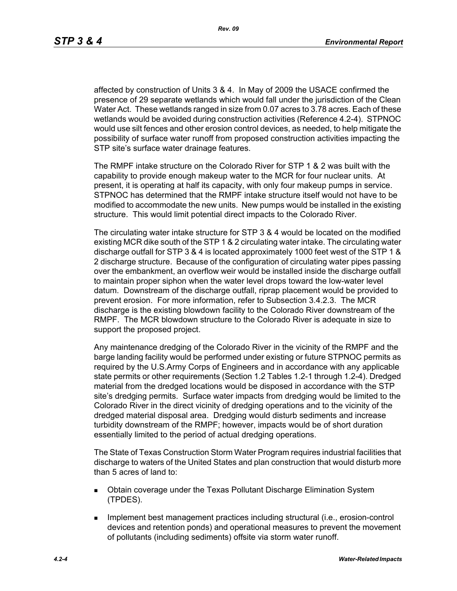affected by construction of Units 3 & 4. In May of 2009 the USACE confirmed the presence of 29 separate wetlands which would fall under the jurisdiction of the Clean Water Act. These wetlands ranged in size from 0.07 acres to 3.78 acres. Each of these wetlands would be avoided during construction activities (Reference 4.2-4). STPNOC would use silt fences and other erosion control devices, as needed, to help mitigate the possibility of surface water runoff from proposed construction activities impacting the STP site's surface water drainage features.

The RMPF intake structure on the Colorado River for STP 1 & 2 was built with the capability to provide enough makeup water to the MCR for four nuclear units. At present, it is operating at half its capacity, with only four makeup pumps in service. STPNOC has determined that the RMPF intake structure itself would not have to be modified to accommodate the new units. New pumps would be installed in the existing structure. This would limit potential direct impacts to the Colorado River.

The circulating water intake structure for STP 3 & 4 would be located on the modified existing MCR dike south of the STP 1 & 2 circulating water intake. The circulating water discharge outfall for STP 3 & 4 is located approximately 1000 feet west of the STP 1 & 2 discharge structure. Because of the configuration of circulating water pipes passing over the embankment, an overflow weir would be installed inside the discharge outfall to maintain proper siphon when the water level drops toward the low-water level datum. Downstream of the discharge outfall, riprap placement would be provided to prevent erosion. For more information, refer to Subsection 3.4.2.3. The MCR discharge is the existing blowdown facility to the Colorado River downstream of the RMPF. The MCR blowdown structure to the Colorado River is adequate in size to support the proposed project.

Any maintenance dredging of the Colorado River in the vicinity of the RMPF and the barge landing facility would be performed under existing or future STPNOC permits as required by the U.S.Army Corps of Engineers and in accordance with any applicable state permits or other requirements (Section 1.2 Tables 1.2-1 through 1.2-4). Dredged material from the dredged locations would be disposed in accordance with the STP site's dredging permits. Surface water impacts from dredging would be limited to the Colorado River in the direct vicinity of dredging operations and to the vicinity of the dredged material disposal area. Dredging would disturb sediments and increase turbidity downstream of the RMPF; however, impacts would be of short duration essentially limited to the period of actual dredging operations.

The State of Texas Construction Storm Water Program requires industrial facilities that discharge to waters of the United States and plan construction that would disturb more than 5 acres of land to:

- Obtain coverage under the Texas Pollutant Discharge Elimination System (TPDES).
- **IMPLEMENT MANAGEMENT EXAMPLE THE IMPLEMENT INCORDIT IN THE IMPLEMENT INCORDENT INCORDIT IN THE IMPLEMENT INCORDIT IN THE IMPLEMENT INCORDENT INCORDITION** devices and retention ponds) and operational measures to prevent the movement of pollutants (including sediments) offsite via storm water runoff.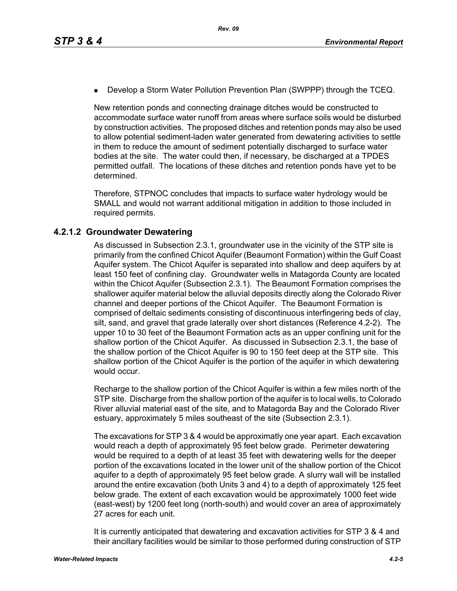**Develop a Storm Water Pollution Prevention Plan (SWPPP) through the TCEQ.** 

New retention ponds and connecting drainage ditches would be constructed to accommodate surface water runoff from areas where surface soils would be disturbed by construction activities. The proposed ditches and retention ponds may also be used to allow potential sediment-laden water generated from dewatering activities to settle in them to reduce the amount of sediment potentially discharged to surface water bodies at the site. The water could then, if necessary, be discharged at a TPDES permitted outfall. The locations of these ditches and retention ponds have yet to be determined.

Therefore, STPNOC concludes that impacts to surface water hydrology would be SMALL and would not warrant additional mitigation in addition to those included in required permits.

#### **4.2.1.2 Groundwater Dewatering**

As discussed in Subsection 2.3.1, groundwater use in the vicinity of the STP site is primarily from the confined Chicot Aquifer (Beaumont Formation) within the Gulf Coast Aquifer system. The Chicot Aquifer is separated into shallow and deep aquifers by at least 150 feet of confining clay. Groundwater wells in Matagorda County are located within the Chicot Aquifer (Subsection 2.3.1). The Beaumont Formation comprises the shallower aquifer material below the alluvial deposits directly along the Colorado River channel and deeper portions of the Chicot Aquifer. The Beaumont Formation is comprised of deltaic sediments consisting of discontinuous interfingering beds of clay, silt, sand, and gravel that grade laterally over short distances (Reference 4.2-2). The upper 10 to 30 feet of the Beaumont Formation acts as an upper confining unit for the shallow portion of the Chicot Aquifer. As discussed in Subsection 2.3.1, the base of the shallow portion of the Chicot Aquifer is 90 to 150 feet deep at the STP site. This shallow portion of the Chicot Aquifer is the portion of the aquifer in which dewatering would occur.

Recharge to the shallow portion of the Chicot Aquifer is within a few miles north of the STP site. Discharge from the shallow portion of the aquifer is to local wells, to Colorado River alluvial material east of the site, and to Matagorda Bay and the Colorado River estuary, approximately 5 miles southeast of the site (Subsection 2.3.1).

The excavations for STP 3 & 4 would be approximatly one year apart. Each excavation would reach a depth of approximately 95 feet below grade. Perimeter dewatering would be required to a depth of at least 35 feet with dewatering wells for the deeper portion of the excavations located in the lower unit of the shallow portion of the Chicot aquifer to a depth of approximately 95 feet below grade. A slurry wall will be installed around the entire excavation (both Units 3 and 4) to a depth of approximately 125 feet below grade. The extent of each excavation would be approximately 1000 feet wide (east-west) by 1200 feet long (north-south) and would cover an area of approximately 27 acres for each unit.

It is currently anticipated that dewatering and excavation activities for STP 3 & 4 and their ancillary facilities would be similar to those performed during construction of STP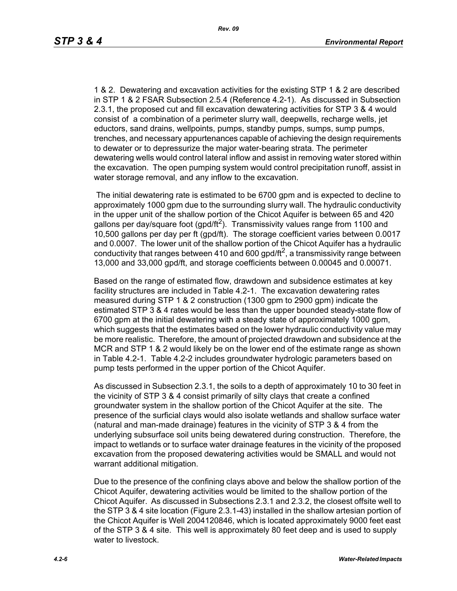1 & 2. Dewatering and excavation activities for the existing STP 1 & 2 are described in STP 1 & 2 FSAR Subsection 2.5.4 (Reference 4.2-1). As discussed in Subsection 2.3.1, the proposed cut and fill excavation dewatering activities for STP 3 & 4 would consist of a combination of a perimeter slurry wall, deepwells, recharge wells, jet eductors, sand drains, wellpoints, pumps, standby pumps, sumps, sump pumps, trenches, and necessary appurtenances capable of achieving the design requirements to dewater or to depressurize the major water-bearing strata. The perimeter dewatering wells would control lateral inflow and assist in removing water stored within the excavation. The open pumping system would control precipitation runoff, assist in water storage removal, and any inflow to the excavation.

 The initial dewatering rate is estimated to be 6700 gpm and is expected to decline to approximately 1000 gpm due to the surrounding slurry wall. The hydraulic conductivity in the upper unit of the shallow portion of the Chicot Aquifer is between 65 and 420 gallons per day/square foot (gpd/ft<sup>2</sup>). Transmissivity values range from 1100 and 10,500 gallons per day per ft (gpd/ft). The storage coefficient varies between 0.0017 and 0.0007. The lower unit of the shallow portion of the Chicot Aquifer has a hydraulic conductivity that ranges between 410 and 600 gpd/ft<sup>2</sup>, a transmissivity range between 13,000 and 33,000 gpd/ft, and storage coefficients between 0.00045 and 0.00071.

Based on the range of estimated flow, drawdown and subsidence estimates at key facility structures are included in Table 4.2-1. The excavation dewatering rates measured during STP 1 & 2 construction (1300 gpm to 2900 gpm) indicate the estimated STP 3 & 4 rates would be less than the upper bounded steady-state flow of 6700 gpm at the initial dewatering with a steady state of approximately 1000 gpm, which suggests that the estimates based on the lower hydraulic conductivity value may be more realistic. Therefore, the amount of projected drawdown and subsidence at the MCR and STP 1 & 2 would likely be on the lower end of the estimate range as shown in Table 4.2-1. Table 4.2-2 includes groundwater hydrologic parameters based on pump tests performed in the upper portion of the Chicot Aquifer.

As discussed in Subsection 2.3.1, the soils to a depth of approximately 10 to 30 feet in the vicinity of STP 3 & 4 consist primarily of silty clays that create a confined groundwater system in the shallow portion of the Chicot Aquifer at the site. The presence of the surficial clays would also isolate wetlands and shallow surface water (natural and man-made drainage) features in the vicinity of STP 3 & 4 from the underlying subsurface soil units being dewatered during construction. Therefore, the impact to wetlands or to surface water drainage features in the vicinity of the proposed excavation from the proposed dewatering activities would be SMALL and would not warrant additional mitigation.

Due to the presence of the confining clays above and below the shallow portion of the Chicot Aquifer, dewatering activities would be limited to the shallow portion of the Chicot Aquifer. As discussed in Subsections 2.3.1 and 2.3.2, the closest offsite well to the STP 3 & 4 site location (Figure 2.3.1-43) installed in the shallow artesian portion of the Chicot Aquifer is Well 2004120846, which is located approximately 9000 feet east of the STP 3 & 4 site. This well is approximately 80 feet deep and is used to supply water to livestock.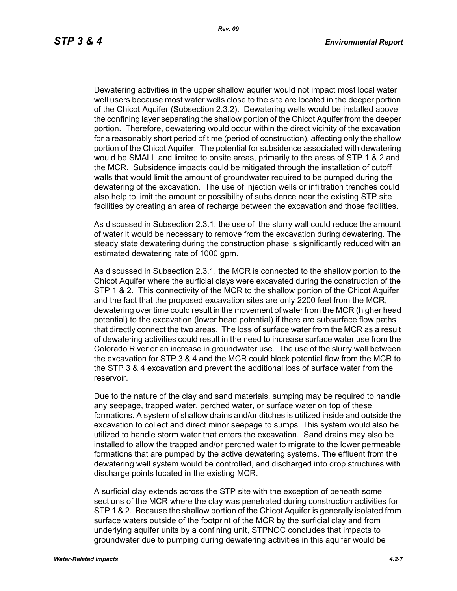Dewatering activities in the upper shallow aquifer would not impact most local water well users because most water wells close to the site are located in the deeper portion of the Chicot Aquifer (Subsection 2.3.2). Dewatering wells would be installed above the confining layer separating the shallow portion of the Chicot Aquifer from the deeper portion. Therefore, dewatering would occur within the direct vicinity of the excavation for a reasonably short period of time (period of construction), affecting only the shallow portion of the Chicot Aquifer. The potential for subsidence associated with dewatering would be SMALL and limited to onsite areas, primarily to the areas of STP 1 & 2 and the MCR. Subsidence impacts could be mitigated through the installation of cutoff walls that would limit the amount of groundwater required to be pumped during the dewatering of the excavation. The use of injection wells or infiltration trenches could also help to limit the amount or possibility of subsidence near the existing STP site facilities by creating an area of recharge between the excavation and those facilities.

As discussed in Subsection 2.3.1, the use of the slurry wall could reduce the amount of water it would be necessary to remove from the excavation during dewatering. The steady state dewatering during the construction phase is significantly reduced with an estimated dewatering rate of 1000 gpm.

As discussed in Subsection 2.3.1, the MCR is connected to the shallow portion to the Chicot Aquifer where the surficial clays were excavated during the construction of the STP 1 & 2. This connectivity of the MCR to the shallow portion of the Chicot Aquifer and the fact that the proposed excavation sites are only 2200 feet from the MCR, dewatering over time could result in the movement of water from the MCR (higher head potential) to the excavation (lower head potential) if there are subsurface flow paths that directly connect the two areas. The loss of surface water from the MCR as a result of dewatering activities could result in the need to increase surface water use from the Colorado River or an increase in groundwater use. The use of the slurry wall between the excavation for STP 3 & 4 and the MCR could block potential flow from the MCR to the STP 3 & 4 excavation and prevent the additional loss of surface water from the reservoir.

Due to the nature of the clay and sand materials, sumping may be required to handle any seepage, trapped water, perched water, or surface water on top of these formations. A system of shallow drains and/or ditches is utilized inside and outside the excavation to collect and direct minor seepage to sumps. This system would also be utilized to handle storm water that enters the excavation. Sand drains may also be installed to allow the trapped and/or perched water to migrate to the lower permeable formations that are pumped by the active dewatering systems. The effluent from the dewatering well system would be controlled, and discharged into drop structures with discharge points located in the existing MCR.

A surficial clay extends across the STP site with the exception of beneath some sections of the MCR where the clay was penetrated during construction activities for STP 1 & 2. Because the shallow portion of the Chicot Aquifer is generally isolated from surface waters outside of the footprint of the MCR by the surficial clay and from underlying aquifer units by a confining unit, STPNOC concludes that impacts to groundwater due to pumping during dewatering activities in this aquifer would be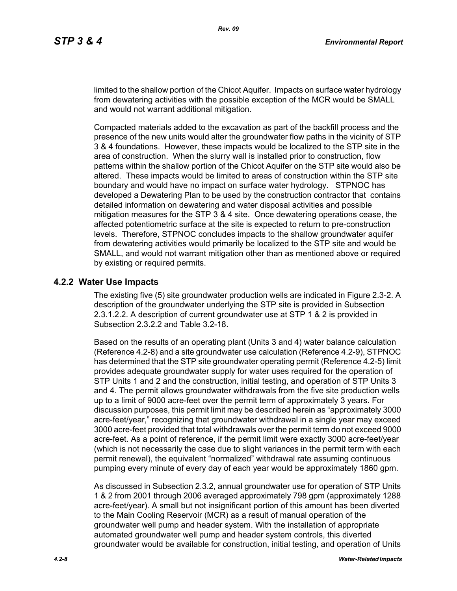limited to the shallow portion of the Chicot Aquifer. Impacts on surface water hydrology from dewatering activities with the possible exception of the MCR would be SMALL and would not warrant additional mitigation.

Compacted materials added to the excavation as part of the backfill process and the presence of the new units would alter the groundwater flow paths in the vicinity of STP 3 & 4 foundations. However, these impacts would be localized to the STP site in the area of construction. When the slurry wall is installed prior to construction, flow patterns within the shallow portion of the Chicot Aquifer on the STP site would also be altered. These impacts would be limited to areas of construction within the STP site boundary and would have no impact on surface water hydrology. STPNOC has developed a Dewatering Plan to be used by the construction contractor that contains detailed information on dewatering and water disposal activities and possible mitigation measures for the STP 3 & 4 site. Once dewatering operations cease, the affected potentiometric surface at the site is expected to return to pre-construction levels. Therefore, STPNOC concludes impacts to the shallow groundwater aquifer from dewatering activities would primarily be localized to the STP site and would be SMALL, and would not warrant mitigation other than as mentioned above or required by existing or required permits.

#### **4.2.2 Water Use Impacts**

The existing five (5) site groundwater production wells are indicated in Figure 2.3-2. A description of the groundwater underlying the STP site is provided in Subsection 2.3.1.2.2. A description of current groundwater use at STP 1 & 2 is provided in Subsection 2.3.2.2 and Table 3.2-18.

Based on the results of an operating plant (Units 3 and 4) water balance calculation (Reference 4.2-8) and a site groundwater use calculation (Reference 4.2-9), STPNOC has determined that the STP site groundwater operating permit (Reference 4.2-5) limit provides adequate groundwater supply for water uses required for the operation of STP Units 1 and 2 and the construction, initial testing, and operation of STP Units 3 and 4. The permit allows groundwater withdrawals from the five site production wells up to a limit of 9000 acre-feet over the permit term of approximately 3 years. For discussion purposes, this permit limit may be described herein as "approximately 3000 acre-feet/year," recognizing that groundwater withdrawal in a single year may exceed 3000 acre-feet provided that total withdrawals over the permit term do not exceed 9000 acre-feet. As a point of reference, if the permit limit were exactly 3000 acre-feet/year (which is not necessarily the case due to slight variances in the permit term with each permit renewal), the equivalent "normalized" withdrawal rate assuming continuous pumping every minute of every day of each year would be approximately 1860 gpm.

As discussed in Subsection 2.3.2, annual groundwater use for operation of STP Units 1 & 2 from 2001 through 2006 averaged approximately 798 gpm (approximately 1288 acre-feet/year). A small but not insignificant portion of this amount has been diverted to the Main Cooling Reservoir (MCR) as a result of manual operation of the groundwater well pump and header system. With the installation of appropriate automated groundwater well pump and header system controls, this diverted groundwater would be available for construction, initial testing, and operation of Units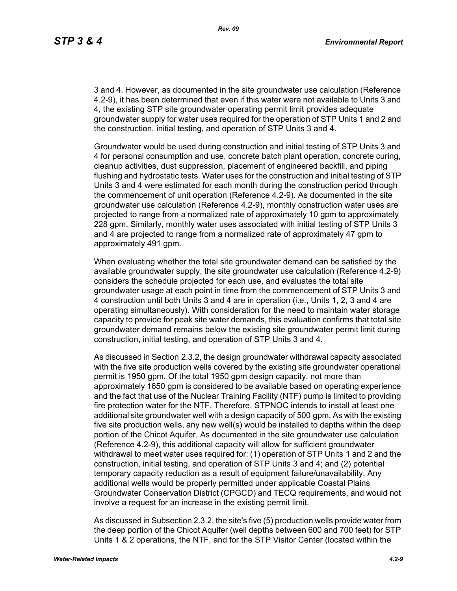3 and 4. However, as documented in the site groundwater use calculation (Reference 4.2-9), it has been determined that even if this water were not available to Units 3 and 4, the existing STP site groundwater operating permit limit provides adequate groundwater supply for water uses required for the operation of STP Units 1 and 2 and the construction, initial testing, and operation of STP Units 3 and 4.

Groundwater would be used during construction and initial testing of STP Units 3 and 4 for personal consumption and use, concrete batch plant operation, concrete curing, cleanup activities, dust suppression, placement of engineered backfill, and piping flushing and hydrostatic tests. Water uses for the construction and initial testing of STP Units 3 and 4 were estimated for each month during the construction period through the commencement of unit operation (Reference 4.2-9). As documented in the site groundwater use calculation (Reference 4.2-9), monthly construction water uses are projected to range from a normalized rate of approximately 10 gpm to approximately 228 gpm. Similarly, monthly water uses associated with initial testing of STP Units 3 and 4 are projected to range from a normalized rate of approximately 47 gpm to approximately 491 gpm.

When evaluating whether the total site groundwater demand can be satisfied by the available groundwater supply, the site groundwater use calculation (Reference 4.2-9) considers the schedule projected for each use, and evaluates the total site groundwater usage at each point in time from the commencement of STP Units 3 and 4 construction until both Units 3 and 4 are in operation (i.e., Units 1, 2, 3 and 4 are operating simultaneously). With consideration for the need to maintain water storage capacity to provide for peak site water demands, this evaluation confirms that total site groundwater demand remains below the existing site groundwater permit limit during construction, initial testing, and operation of STP Units 3 and 4.

As discussed in Section 2.3.2, the design groundwater withdrawal capacity associated with the five site production wells covered by the existing site groundwater operational permit is 1950 gpm. Of the total 1950 gpm design capacity, not more than approximately 1650 gpm is considered to be available based on operating experience and the fact that use of the Nuclear Training Facility (NTF) pump is limited to providing fire protection water for the NTF. Therefore, STPNOC intends to install at least one additional site groundwater well with a design capacity of 500 gpm. As with the existing five site production wells, any new well(s) would be installed to depths within the deep portion of the Chicot Aquifer. As documented in the site groundwater use calculation (Reference 4.2-9), this additional capacity will allow for sufficient groundwater withdrawal to meet water uses required for: (1) operation of STP Units 1 and 2 and the construction, initial testing, and operation of STP Units 3 and 4; and (2) potential temporary capacity reduction as a result of equipment failure/unavailability. Any additional wells would be properly permitted under applicable Coastal Plains Groundwater Conservation District (CPGCD) and TECQ requirements, and would not involve a request for an increase in the existing permit limit.

As discussed in Subsection 2.3.2, the site's five (5) production wells provide water from the deep portion of the Chicot Aquifer (well depths between 600 and 700 feet) for STP Units 1 & 2 operations, the NTF, and for the STP Visitor Center (located within the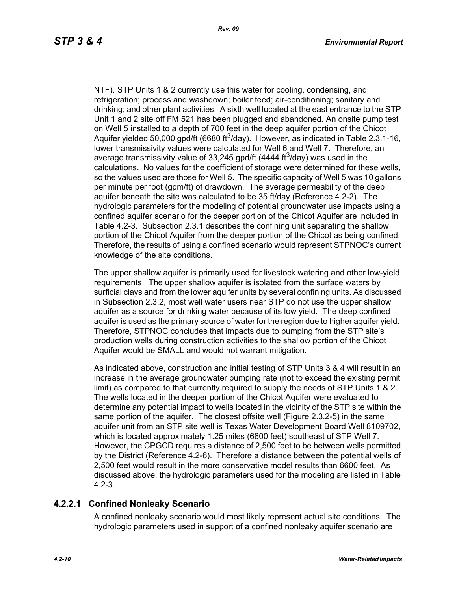NTF). STP Units 1 & 2 currently use this water for cooling, condensing, and refrigeration; process and washdown; boiler feed; air-conditioning; sanitary and drinking; and other plant activities. A sixth well located at the east entrance to the STP Unit 1 and 2 site off FM 521 has been plugged and abandoned. An onsite pump test on Well 5 installed to a depth of 700 feet in the deep aquifer portion of the Chicot Aquifer yielded 50,000 gpd/ft (6680 ft<sup>3</sup>/day). However, as indicated in Table 2.3.1-16, lower transmissivity values were calculated for Well 6 and Well 7. Therefore, an average transmissivity value of 33,245 gpd/ft (4444 ft<sup>3</sup>/day) was used in the calculations. No values for the coefficient of storage were determined for these wells, so the values used are those for Well 5. The specific capacity of Well 5 was 10 gallons per minute per foot (gpm/ft) of drawdown. The average permeability of the deep aquifer beneath the site was calculated to be 35 ft/day (Reference 4.2-2). The hydrologic parameters for the modeling of potential groundwater use impacts using a confined aquifer scenario for the deeper portion of the Chicot Aquifer are included in Table 4.2-3. Subsection 2.3.1 describes the confining unit separating the shallow portion of the Chicot Aquifer from the deeper portion of the Chicot as being confined. Therefore, the results of using a confined scenario would represent STPNOC's current knowledge of the site conditions.

The upper shallow aquifer is primarily used for livestock watering and other low-yield requirements. The upper shallow aquifer is isolated from the surface waters by surficial clays and from the lower aquifer units by several confining units. As discussed in Subsection 2.3.2, most well water users near STP do not use the upper shallow aquifer as a source for drinking water because of its low yield. The deep confined aquifer is used as the primary source of water for the region due to higher aquifer yield. Therefore, STPNOC concludes that impacts due to pumping from the STP site's production wells during construction activities to the shallow portion of the Chicot Aquifer would be SMALL and would not warrant mitigation.

As indicated above, construction and initial testing of STP Units 3 & 4 will result in an increase in the average groundwater pumping rate (not to exceed the existing permit limit) as compared to that currently required to supply the needs of STP Units 1 & 2. The wells located in the deeper portion of the Chicot Aquifer were evaluated to determine any potential impact to wells located in the vicinity of the STP site within the same portion of the aquifer. The closest offsite well (Figure 2.3.2-5) in the same aquifer unit from an STP site well is Texas Water Development Board Well 8109702, which is located approximately 1.25 miles (6600 feet) southeast of STP Well 7. However, the CPGCD requires a distance of 2,500 feet to be between wells permitted by the District (Reference 4.2-6). Therefore a distance between the potential wells of 2,500 feet would result in the more conservative model results than 6600 feet. As discussed above, the hydrologic parameters used for the modeling are listed in Table 4.2-3.

# **4.2.2.1 Confined Nonleaky Scenario**

A confined nonleaky scenario would most likely represent actual site conditions. The hydrologic parameters used in support of a confined nonleaky aquifer scenario are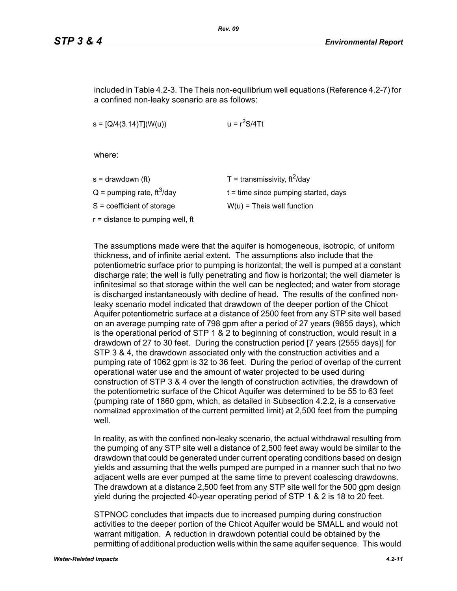included in Table 4.2-3. The Theis non-equilibrium well equations (Reference 4.2-7) for a confined non-leaky scenario are as follows:

 $s = [Q/4(3.14)T](W(u))$   $u = r<sup>2</sup>S/4Tt$ 

where:

| s = drawdown (ft)                        | T = transmissivity, $\text{ft}^2/\text{day}$ |
|------------------------------------------|----------------------------------------------|
| $Q =$ pumping rate, ft <sup>3</sup> /day | $t =$ time since pumping started, days       |
| S = coefficient of storage               | $W(u)$ = Theis well function                 |
| r = distance to pumping well, ft         |                                              |
|                                          |                                              |

The assumptions made were that the aquifer is homogeneous, isotropic, of uniform thickness, and of infinite aerial extent. The assumptions also include that the potentiometric surface prior to pumping is horizontal; the well is pumped at a constant discharge rate; the well is fully penetrating and flow is horizontal; the well diameter is infinitesimal so that storage within the well can be neglected; and water from storage is discharged instantaneously with decline of head. The results of the confined nonleaky scenario model indicated that drawdown of the deeper portion of the Chicot Aquifer potentiometric surface at a distance of 2500 feet from any STP site well based on an average pumping rate of 798 gpm after a period of 27 years (9855 days), which is the operational period of STP 1 & 2 to beginning of construction, would result in a drawdown of 27 to 30 feet. During the construction period [7 years (2555 days)] for STP 3 & 4, the drawdown associated only with the construction activities and a pumping rate of 1062 gpm is 32 to 36 feet. During the period of overlap of the current operational water use and the amount of water projected to be used during construction of STP 3 & 4 over the length of construction activities, the drawdown of the potentiometric surface of the Chicot Aquifer was determined to be 55 to 63 feet (pumping rate of 1860 gpm, which, as detailed in Subsection 4.2.2, is a conservative normalized approximation of the current permitted limit) at 2,500 feet from the pumping well

In reality, as with the confined non-leaky scenario, the actual withdrawal resulting from the pumping of any STP site well a distance of 2,500 feet away would be similar to the drawdown that could be generated under current operating conditions based on design yields and assuming that the wells pumped are pumped in a manner such that no two adjacent wells are ever pumped at the same time to prevent coalescing drawdowns. The drawdown at a distance 2,500 feet from any STP site well for the 500 gpm design yield during the projected 40-year operating period of STP 1 & 2 is 18 to 20 feet.

STPNOC concludes that impacts due to increased pumping during construction activities to the deeper portion of the Chicot Aquifer would be SMALL and would not warrant mitigation. A reduction in drawdown potential could be obtained by the permitting of additional production wells within the same aquifer sequence. This would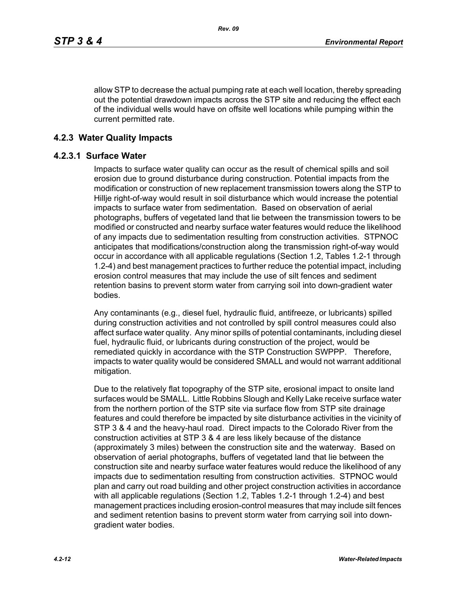allow STP to decrease the actual pumping rate at each well location, thereby spreading out the potential drawdown impacts across the STP site and reducing the effect each of the individual wells would have on offsite well locations while pumping within the current permitted rate.

## **4.2.3 Water Quality Impacts**

#### **4.2.3.1 Surface Water**

Impacts to surface water quality can occur as the result of chemical spills and soil erosion due to ground disturbance during construction. Potential impacts from the modification or construction of new replacement transmission towers along the STP to Hillje right-of-way would result in soil disturbance which would increase the potential impacts to surface water from sedimentation. Based on observation of aerial photographs, buffers of vegetated land that lie between the transmission towers to be modified or constructed and nearby surface water features would reduce the likelihood of any impacts due to sedimentation resulting from construction activities. STPNOC anticipates that modifications/construction along the transmission right-of-way would occur in accordance with all applicable regulations (Section 1.2, Tables 1.2-1 through 1.2-4) and best management practices to further reduce the potential impact, including erosion control measures that may include the use of silt fences and sediment retention basins to prevent storm water from carrying soil into down-gradient water bodies.

Any contaminants (e.g., diesel fuel, hydraulic fluid, antifreeze, or lubricants) spilled during construction activities and not controlled by spill control measures could also affect surface water quality. Any minor spills of potential contaminants, including diesel fuel, hydraulic fluid, or lubricants during construction of the project, would be remediated quickly in accordance with the STP Construction SWPPP. Therefore, impacts to water quality would be considered SMALL and would not warrant additional mitigation.

Due to the relatively flat topography of the STP site, erosional impact to onsite land surfaces would be SMALL. Little Robbins Slough and Kelly Lake receive surface water from the northern portion of the STP site via surface flow from STP site drainage features and could therefore be impacted by site disturbance activities in the vicinity of STP 3 & 4 and the heavy-haul road. Direct impacts to the Colorado River from the construction activities at STP 3 & 4 are less likely because of the distance (approximately 3 miles) between the construction site and the waterway. Based on observation of aerial photographs, buffers of vegetated land that lie between the construction site and nearby surface water features would reduce the likelihood of any impacts due to sedimentation resulting from construction activities. STPNOC would plan and carry out road building and other project construction activities in accordance with all applicable regulations (Section 1.2, Tables 1.2-1 through 1.2-4) and best management practices including erosion-control measures that may include silt fences and sediment retention basins to prevent storm water from carrying soil into downgradient water bodies.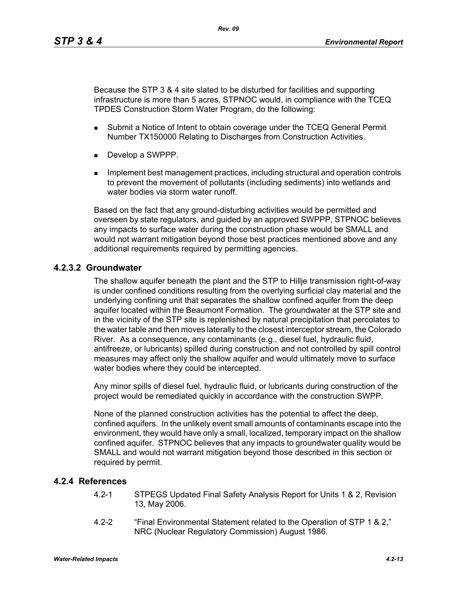Because the STP 3 & 4 site slated to be disturbed for facilities and supporting infrastructure is more than 5 acres, STPNOC would, in compliance with the TCEQ TPDES Construction Storm Water Program, do the following:

- **Submit a Notice of Intent to obtain coverage under the TCEQ General Permit** Number TX150000 Relating to Discharges from Construction Activities.
- Develop a SWPPP.
- **IMPLEMENT MANAGEMENT MANAGEMENT CONTROLLER** Including structural and operation controls to prevent the movement of pollutants (including sediments) into wetlands and water bodies via storm water runoff

Based on the fact that any ground-disturbing activities would be permitted and overseen by state regulators, and guided by an approved SWPPP, STPNOC believes any impacts to surface water during the construction phase would be SMALL and would not warrant mitigation beyond those best practices mentioned above and any additional requirements required by permitting agencies.

## **4.2.3.2 Groundwater**

The shallow aquifer beneath the plant and the STP to Hillje transmission right-of-way is under confined conditions resulting from the overlying surficial clay material and the underlying confining unit that separates the shallow confined aquifer from the deep aquifer located within the Beaumont Formation. The groundwater at the STP site and in the vicinity of the STP site is replenished by natural precipitation that percolates to the water table and then moves laterally to the closest interceptor stream, the Colorado River. As a consequence, any contaminants (e.g., diesel fuel, hydraulic fluid, antifreeze, or lubricants) spilled during construction and not controlled by spill control measures may affect only the shallow aquifer and would ultimately move to surface water bodies where they could be intercepted.

Any minor spills of diesel fuel, hydraulic fluid, or lubricants during construction of the project would be remediated quickly in accordance with the construction SWPP.

None of the planned construction activities has the potential to affect the deep, confined aquifers. In the unlikely event small amounts of contaminants escape into the environment, they would have only a small, localized, temporary impact on the shallow confined aquifer. STPNOC believes that any impacts to groundwater quality would be SMALL and would not warrant mitigation beyond those described in this section or required by permit.

#### **4.2.4 References**

- 4.2-1 STPEGS Updated Final Safety Analysis Report for Units 1 & 2, Revision 13, May 2006.
- 4.2-2 "Final Environmental Statement related to the Operation of STP 1 & 2," NRC (Nuclear Regulatory Commission) August 1986.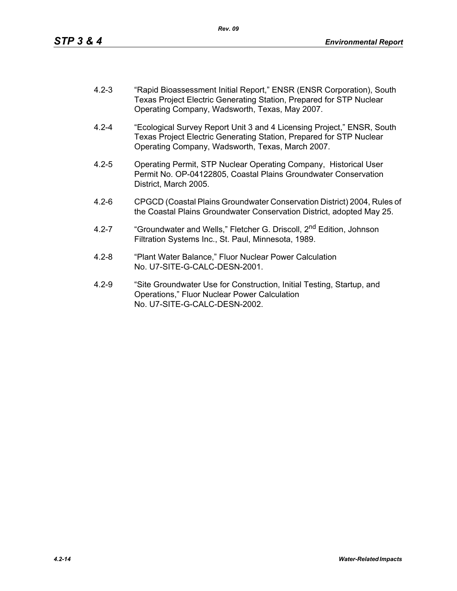- 4.2-3 "Rapid Bioassessment Initial Report," ENSR (ENSR Corporation), South Texas Project Electric Generating Station, Prepared for STP Nuclear Operating Company, Wadsworth, Texas, May 2007.
- 4.2-4 "Ecological Survey Report Unit 3 and 4 Licensing Project," ENSR, South Texas Project Electric Generating Station, Prepared for STP Nuclear Operating Company, Wadsworth, Texas, March 2007.
- 4.2-5 Operating Permit, STP Nuclear Operating Company, Historical User Permit No. OP-04122805, Coastal Plains Groundwater Conservation District, March 2005.
- 4.2-6 CPGCD (Coastal Plains Groundwater Conservation District) 2004, Rules of the Coastal Plains Groundwater Conservation District, adopted May 25.
- 4.2-7 "Groundwater and Wells," Fletcher G. Driscoll, 2<sup>nd</sup> Edition, Johnson Filtration Systems Inc., St. Paul, Minnesota, 1989.
- 4.2-8 "Plant Water Balance," Fluor Nuclear Power Calculation No. U7-SITE-G-CALC-DESN-2001.
- 4.2-9 "Site Groundwater Use for Construction, Initial Testing, Startup, and Operations," Fluor Nuclear Power Calculation No. U7-SITE-G-CALC-DESN-2002.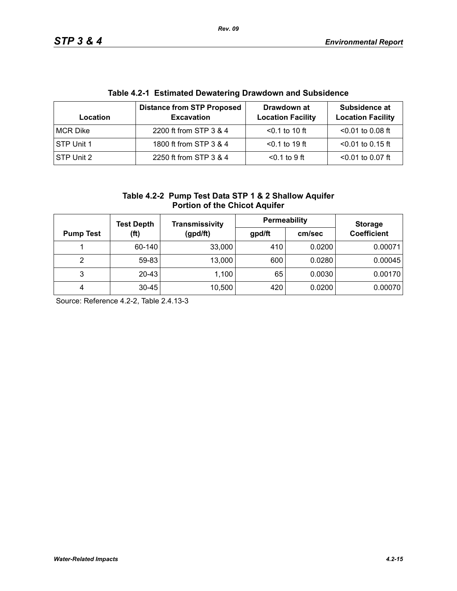| Table 4.2-1 EStimated Dewatering Drawdown and Subsidence |                                                        |                                         |                                           |  |  |  |
|----------------------------------------------------------|--------------------------------------------------------|-----------------------------------------|-------------------------------------------|--|--|--|
| Location                                                 | <b>Distance from STP Proposed</b><br><b>Excavation</b> | Drawdown at<br><b>Location Facility</b> | Subsidence at<br><b>Location Facility</b> |  |  |  |
| MCR Dike                                                 | 2200 ft from STP 3 & 4                                 | $< 0.1$ to 10 ft                        | $< 0.01$ to 0.08 ft                       |  |  |  |
| STP Unit 1                                               | 1800 ft from STP 3 & 4                                 | $< 0.1$ to 19 ft                        | $<$ 0.01 to 0.15 ft                       |  |  |  |
| STP Unit 2                                               | 2250 ft from STP 3 & 4                                 | $0.1$ to 9 ft                           | $< 0.01$ to 0.07 ft                       |  |  |  |

# **Table 4.2-1 Estimated Dewatering Drawdown and Subsidence**

| Table 4.2-2 Pump Test Data STP 1 & 2 Shallow Aquifer |
|------------------------------------------------------|
| <b>Portion of the Chicot Aquifer</b>                 |

|                  | <b>Test Depth</b> | <b>Transmissivity</b> | Permeability | <b>Storage</b> |                    |  |
|------------------|-------------------|-----------------------|--------------|----------------|--------------------|--|
| <b>Pump Test</b> | (ft)              | (gpd/ft)              | gpd/ft       | cm/sec         | <b>Coefficient</b> |  |
|                  | 60-140            | 33,000                | 410          | 0.0200         | 0.00071            |  |
| 2                | 59-83             | 13,000                | 600          | 0.0280         | 0.00045            |  |
| 3                | 20-43             | 1,100                 | 65           | 0.0030         | 0.00170            |  |
| 4                | $30 - 45$         | 10,500                | 420          | 0.0200         | 0.00070            |  |

Source: Reference 4.2-2, Table 2.4.13-3